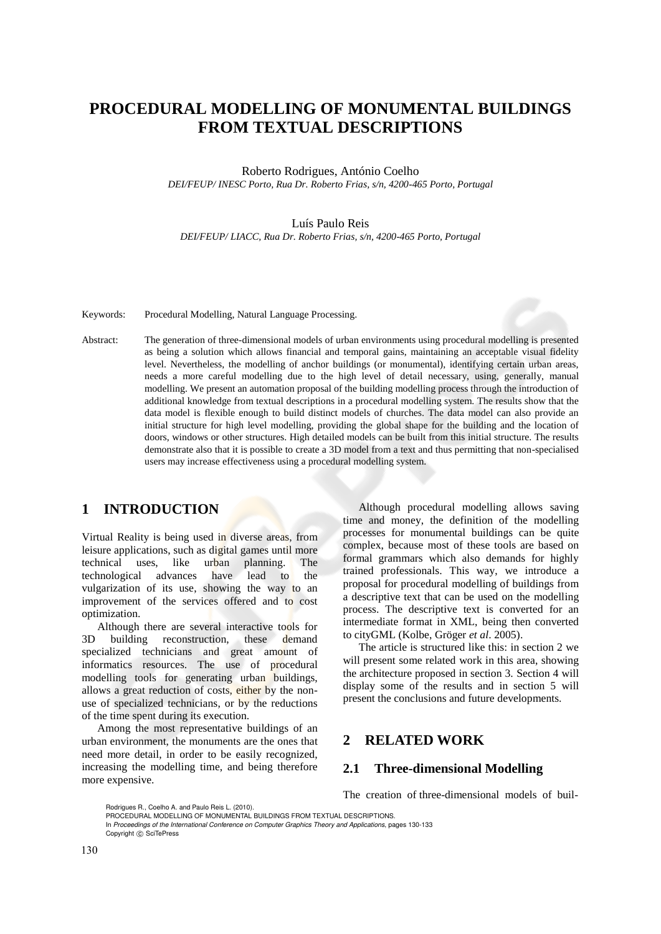# **PROCEDURAL MODELLING OF MONUMENTAL BUILDINGS FROM TEXTUAL DESCRIPTIONS**

Roberto Rodrigues, António Coelho *DEI/FEUP/ INESC Porto, Rua Dr. Roberto Frias, s/n, 4200-465 Porto, Portugal* 

#### Luís Paulo Reis

*DEI/FEUP/ LIACC, Rua Dr. Roberto Frias, s/n, 4200-465 Porto, Portugal* 

Keywords: Procedural Modelling, Natural Language Processing.

Abstract: The generation of three-dimensional models of urban environments using procedural modelling is presented as being a solution which allows financial and temporal gains, maintaining an acceptable visual fidelity level. Nevertheless, the modelling of anchor buildings (or monumental), identifying certain urban areas, needs a more careful modelling due to the high level of detail necessary, using, generally, manual modelling. We present an automation proposal of the building modelling process through the introduction of additional knowledge from textual descriptions in a procedural modelling system. The results show that the data model is flexible enough to build distinct models of churches. The data model can also provide an initial structure for high level modelling, providing the global shape for the building and the location of doors, windows or other structures. High detailed models can be built from this initial structure. The results demonstrate also that it is possible to create a 3D model from a text and thus permitting that non-specialised users may increase effectiveness using a procedural modelling system.

# **1 INTRODUCTION**

Virtual Reality is being used in diverse areas, from leisure applications, such as digital games until more technical uses, like urban planning. The technological advances have lead to the vulgarization of its use, showing the way to an improvement of the services offered and to cost optimization.

Although there are several interactive tools for 3D building reconstruction, these demand specialized technicians and great amount of informatics resources. The use of procedural modelling tools for generating urban buildings, allows a great reduction of costs, either by the nonuse of specialized technicians, or by the reductions of the time spent during its execution.

Among the most representative buildings of an urban environment, the monuments are the ones that need more detail, in order to be easily recognized, increasing the modelling time, and being therefore more expensive.

Although procedural modelling allows saving time and money, the definition of the modelling processes for monumental buildings can be quite complex, because most of these tools are based on formal grammars which also demands for highly trained professionals. This way, we introduce a proposal for procedural modelling of buildings from a descriptive text that can be used on the modelling process. The descriptive text is converted for an intermediate format in XML, being then converted to cityGML (Kolbe, Gröger *et al*. 2005).

The article is structured like this: in section 2 we will present some related work in this area, showing the architecture proposed in section 3. Section 4 will display some of the results and in section 5 will present the conclusions and future developments.

## **2 RELATED WORK**

#### **2.1 Three-dimensional Modelling**

The creation of three-dimensional models of buil-

In *Proceedings of the International Conference on Computer Graphics Theory and Applications*, pages 130-133 Copyright © SciTePress

Rodrigues R., Coelho A. and Paulo Reis L. (2010).

PROCEDURAL MODELLING OF MONUMENTAL BUILDINGS FROM TEXTUAL DESCRIPTIONS.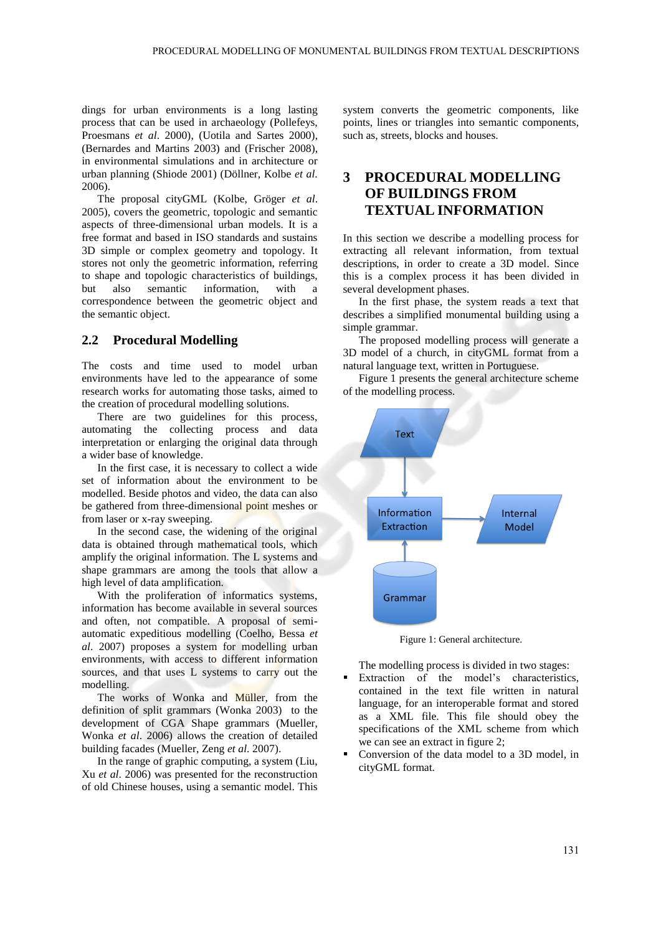dings for urban environments is a long lasting process that can be used in archaeology (Pollefeys, Proesmans *et al*. 2000), (Uotila and Sartes 2000), (Bernardes and Martins 2003) and (Frischer 2008), in environmental simulations and in architecture or urban planning (Shiode 2001) (Döllner, Kolbe *et al*. 2006).

The proposal cityGML (Kolbe, Gröger *et al*. 2005), covers the geometric, topologic and semantic aspects of three-dimensional urban models. It is a free format and based in ISO standards and sustains 3D simple or complex geometry and topology. It stores not only the geometric information, referring to shape and topologic characteristics of buildings, but also semantic information, with a correspondence between the geometric object and the semantic object.

### **2.2 Procedural Modelling**

The costs and time used to model urban environments have led to the appearance of some research works for automating those tasks, aimed to the creation of procedural modelling solutions.

There are two guidelines for this process, automating the collecting process and data interpretation or enlarging the original data through a wider base of knowledge.

In the first case, it is necessary to collect a wide set of information about the environment to be modelled. Beside photos and video, the data can also be gathered from three-dimensional point meshes or from laser or x-ray sweeping.

In the second case, the widening of the original data is obtained through mathematical tools, which amplify the original information. The L systems and shape grammars are among the tools that allow a high level of data amplification.

With the proliferation of informatics systems, information has become available in several sources and often, not compatible. A proposal of semiautomatic expeditious modelling (Coelho, Bessa *et al*. 2007) proposes a system for modelling urban environments, with access to different information sources, and that uses L systems to carry out the modelling.

The works of Wonka and Müller, from the definition of split grammars (Wonka 2003) to the development of CGA Shape grammars (Mueller, Wonka *et al*. 2006) allows the creation of detailed building facades (Mueller, Zeng *et al*. 2007).

In the range of graphic computing, a system (Liu, Xu *et al*. 2006) was presented for the reconstruction of old Chinese houses, using a semantic model. This

system converts the geometric components, like points, lines or triangles into semantic components, such as, streets, blocks and houses.

# **3 PROCEDURAL MODELLING OF BUILDINGS FROM TEXTUAL INFORMATION**

In this section we describe a modelling process for extracting all relevant information, from textual descriptions, in order to create a 3D model. Since this is a complex process it has been divided in several development phases.

In the first phase, the system reads a text that describes a simplified monumental building using a simple grammar.

The proposed modelling process will generate a 3D model of a church, in cityGML format from a natural language text, written in Portuguese.

Figure 1 presents the general architecture scheme of the modelling process.



Figure 1: General architecture.

The modelling process is divided in two stages:

- Extraction of the model's characteristics, contained in the text file written in natural language, for an interoperable format and stored as a XML file. This file should obey the specifications of the XML scheme from which we can see an extract in figure 2;
- Conversion of the data model to a 3D model, in cityGML format.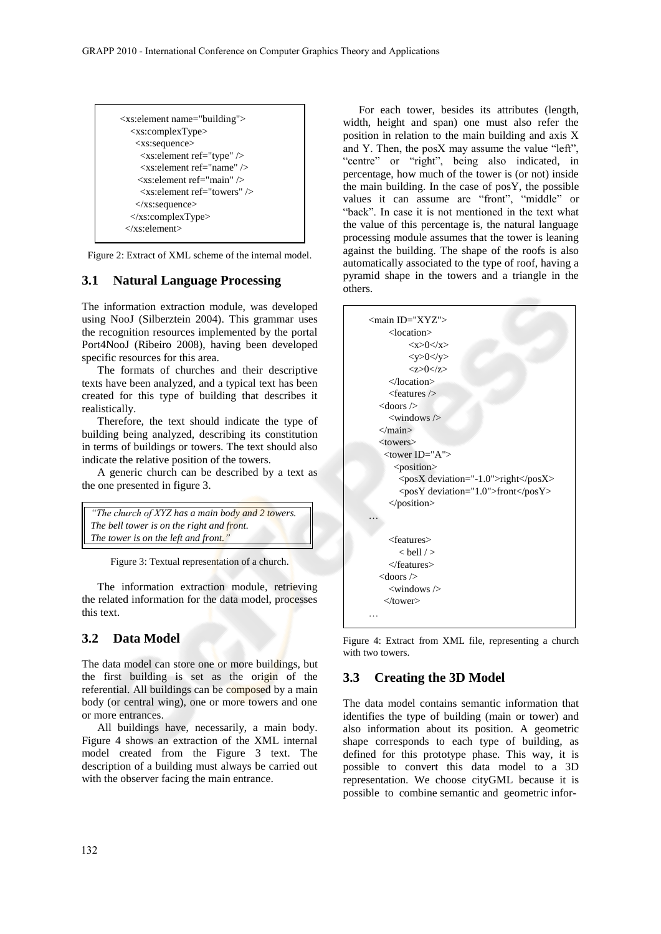```
<xs:element name="building">
   <xs:complexType>
    <xs:sequence>
     <xs:element ref="type" />
      <xs:element ref="name" />
     <xs:element ref="main" />
     <xs:element ref="towers" />
    </xs:sequence>
   </xs:complexType>
  </xs:element>
```
Figure 2: Extract of XML scheme of the internal model.

#### **3.1 Natural Language Processing**

The information extraction module, was developed using NooJ (Silberztein 2004). This grammar uses the recognition resources implemented by the portal Port4NooJ (Ribeiro 2008), having been developed specific resources for this area.

The formats of churches and their descriptive texts have been analyzed, and a typical text has been created for this type of building that describes it realistically.

Therefore, the text should indicate the type of building being analyzed, describing its constitution in terms of buildings or towers. The text should also indicate the relative position of the towers.

A generic church can be described by a text as the one presented in figure 3.

```
"The church of XYZ has a main body and 2 towers.
The bell tower is on the right and front.
The tower is on the left and front."
```
Figure 3: Textual representation of a church.

The information extraction module, retrieving the related information for the data model, processes this text.

### **3.2 Data Model**

The data model can store one or more buildings, but the first building is set as the origin of the referential. All buildings can be composed by a main body (or central wing), one or more towers and one or more entrances.

All buildings have, necessarily, a main body. Figure 4 shows an extraction of the XML internal model created from the Figure 3 text. The description of a building must always be carried out with the observer facing the main entrance.

For each tower, besides its attributes (length, width, height and span) one must also refer the position in relation to the main building and axis X and Y. Then, the posX may assume the value "left", "centre" or "right", being also indicated, in percentage, how much of the tower is (or not) inside the main building. In the case of posY, the possible values it can assume are "front", "middle" or "back". In case it is not mentioned in the text what the value of this percentage is, the natural language processing module assumes that the tower is leaning against the building. The shape of the roofs is also automatically associated to the type of roof, having a pyramid shape in the towers and a triangle in the others.



Figure 4: Extract from XML file, representing a church with two towers.

### **3.3 Creating the 3D Model**

The data model contains semantic information that identifies the type of building (main or tower) and also information about its position. A geometric shape corresponds to each type of building, as defined for this prototype phase. This way, it is possible to convert this data model to a 3D representation. We choose cityGML because it is possible to combine semantic and geometric infor